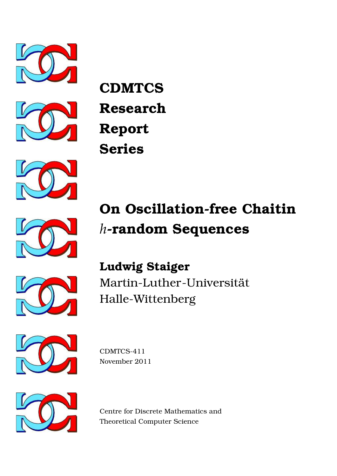







# **On Oscillation-free Chaitin** *h***-random Sequences**





**Ludwig Staiger** Martin-Luther-Universität Halle-Wittenberg



CDMTCS-411 November 2011



Centre for Discrete Mathematics and Theoretical Computer Science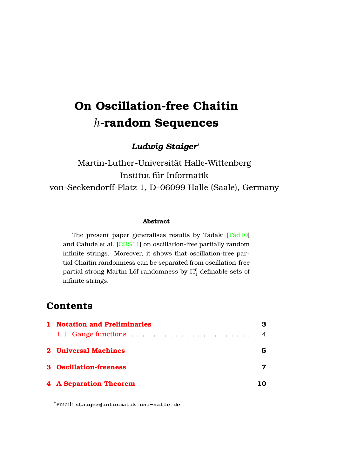# **On Oscillation-free Chaitin** *h***-random Sequences**

*Ludwig Staiger*<sup>∗</sup>

Martin-Luther-Universitat Halle-Wittenberg ¨ Institut für Informatik von-Seckendorff-Platz 1, D–06099 Halle (Saale), Germany

#### **Abstract**

The present paper generalises results by Tadaki [\[Tad10\]](#page-13-0) and Calude et al. [\[CHS11\]](#page-12-0) on oscillation-free partially random infinite strings. Moreover, it shows that oscillation-free partial Chaitin randomness can be separated from oscillation-free partial strong Martin-Löf randomness by  $\Pi^0_1$ -definable sets of infinite strings.

## **Contents**

| 1 Notation and Preliminaries  | 3              |
|-------------------------------|----------------|
| 1.1 Gauge functions           | $\overline{4}$ |
| 2 Universal Machines          | 5              |
| <b>3</b> Oscillation-freeness |                |
| <b>4 A Separation Theorem</b> | 10             |

<sup>∗</sup>email: **staiger@informatik.uni-halle.de**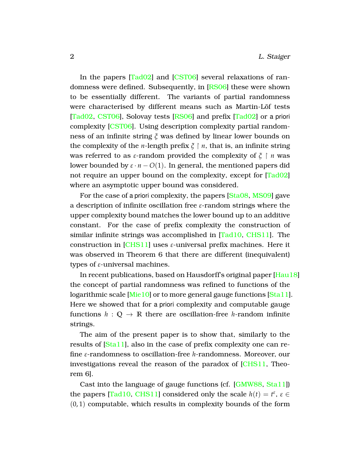In the papers [\[Tad02\]](#page-13-1) and [\[CST06\]](#page-12-1) several relaxations of randomness were defined. Subsequently, in [\[RS06\]](#page-13-2) these were shown to be essentially different. The variants of partial randomness were characterised by different means such as Martin-Löf tests [\[Tad02,](#page-13-1) [CST06\]](#page-12-1), Solovay tests [\[RS06\]](#page-13-2) and prefix [\[Tad02\]](#page-13-1) or a priori complexity [\[CST06\]](#page-12-1). Using description complexity partial randomness of an infinite string *ξ* was defined by linear lower bounds on the complexity of the *n*-length prefix  $\zeta$   $\upharpoonright$  *n*, that is, an infinite string was referred to as *ε*-random provided the complexity of  $\zeta \restriction n$  was lower bounded by  $\varepsilon \cdot n - O(1)$ . In general, the mentioned papers did not require an upper bound on the complexity, except for [\[Tad02\]](#page-13-1) where an asymptotic upper bound was considered.

For the case of a priori complexity, the papers [\[Sta08,](#page-13-3) [MS09\]](#page-13-4) gave a description of infinite oscillation free *ε*-random strings where the upper complexity bound matches the lower bound up to an additive constant. For the case of prefix complexity the construction of similar infinite strings was accomplished in [\[Tad10,](#page-13-0) [CHS11\]](#page-12-0). The construction in [\[CHS11\]](#page-12-0) uses *ε*-universal prefix machines. Here it was observed in Theorem 6 that there are different (inequivalent) types of *ε*-universal machines.

In recent publications, based on Hausdorff's original paper [\[Hau18\]](#page-13-5) the concept of partial randomness was refined to functions of the logarithmic scale [\[Mie10\]](#page-13-6) or to more general gauge functions [\[Sta11\]](#page-13-7). Here we showed that for a priori complexity and computable gauge functions  $h : \mathbb{Q} \to \mathbb{R}$  there are oscillation-free *h*-random infinite strings.

The aim of the present paper is to show that, similarly to the results of [\[Sta11\]](#page-13-7), also in the case of prefix complexity one can refine *ε*-randomness to oscillation-free *h*-randomness. Moreover, our investigations reveal the reason of the paradox of [\[CHS11,](#page-12-0) Theorem 6].

Cast into the language of gauge functions (cf. [\[GMW88,](#page-12-2) [Sta11\]](#page-13-7)) the papers [\[Tad10,](#page-13-0) [CHS11\]](#page-12-0) considered only the scale  $h(t) = t^{\varepsilon}, \varepsilon \in$  $(0, 1)$  computable, which results in complexity bounds of the form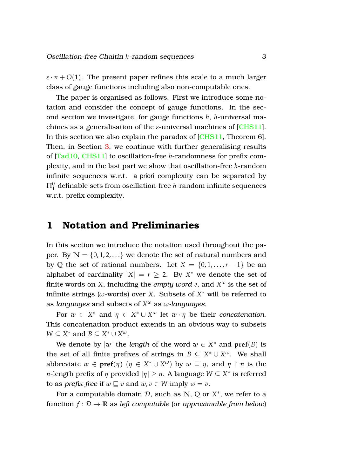$\varepsilon \cdot n + O(1)$ . The present paper refines this scale to a much larger class of gauge functions including also non-computable ones.

The paper is organised as follows. First we introduce some notation and consider the concept of gauge functions. In the second section we investigate, for gauge functions *h*, *h*-universal machines as a generalisation of the *ε*-universal machines of [\[CHS11\]](#page-12-0). In this section we also explain the paradox of [\[CHS11,](#page-12-0) Theorem 6]. Then, in Section [3,](#page-7-0) we continue with further generalising results of [\[Tad10,](#page-13-0) [CHS11\]](#page-12-0) to oscillation-free *h*-randomness for prefix complexity, and in the last part we show that oscillation-free *h*-random infinite sequences w.r.t. a priori complexity can be separated by  $\Pi^0_1$ -definable sets from oscillation-free  $h$ -random infinite sequences w.r.t. prefix complexity.

#### <span id="page-3-0"></span>**1 Notation and Preliminaries**

In this section we introduce the notation used throughout the paper. By  $N = \{0, 1, 2, ...\}$  we denote the set of natural numbers and by Q the set of rational numbers. Let  $X = \{0, 1, \ldots, r-1\}$  be an alphabet of cardinality  $|X| = r \geq 2$ . By  $X^*$  we denote the set of finite words on *X*, including the *empty word e*, and *X <sup>ω</sup>* is the set of infinite strings ( $\omega$ -words) over *X*. Subsets of  $X^*$  will be referred to as *languages* and subsets of *X <sup>ω</sup>* as *ω-languages*.

For  $w \in X^*$  and  $\eta \in X^* \cup X^{\omega}$  let  $w \cdot \eta$  be their *concatenation*. This concatenation product extends in an obvious way to subsets  $W \subseteq X^*$  and  $B \subseteq X^* \cup X^{\omega}$ .

We denote by  $|w|$  the *length* of the word  $w \in X^*$  and  $\text{pref}(B)$  is the set of all finite prefixes of strings in  $B \subseteq X^* \cup X^{\omega}$ . We shall abbreviate  $w \in \text{pref}(\eta)$   $(\eta \in X^* \cup X^{\omega})$  by  $w \sqsubseteq \eta$ , and  $\eta \restriction n$  is the *n*-length prefix of  $η$  provided  $|η| ≥ n$ . A language  $W ⊆ X^*$  is referred to as *prefix-free* if  $w \sqsubseteq v$  and  $w, v \in W$  imply  $w = v$ .

For a computable domain  $D$ , such as  $\mathbb{N}, \mathbb{Q}$  or  $X^*$ , we refer to a function  $f: \mathcal{D} \to \mathbb{R}$  as *left computable* (or *approximable from below*)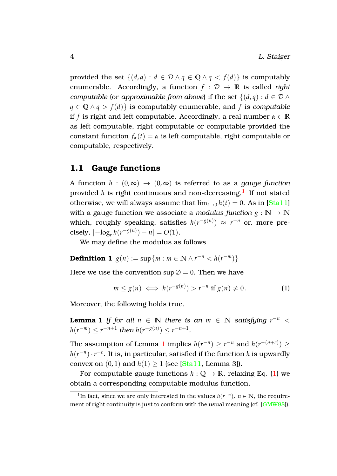provided the set  $\{(d, q) : d \in \mathcal{D} \land q \in \mathcal{O} \land q < f(d)\}$  is computably enumerable. Accordingly, a function  $f : \mathcal{D} \to \mathbb{R}$  is called *right computable* (or *approximable* from above) if the set  $\{(d, q) : d \in \mathcal{D} \land$ *q* ∈ **Q** ∧ *q* > *f*(*d*)} is computably enumerable, and *f* is *computable* if *f* is right and left computable. Accordingly, a real number  $\alpha \in \mathbb{R}$ as left computable, right computable or computable provided the constant function  $f_\alpha(t) = \alpha$  is left computable, right computable or computable, respectively.

#### <span id="page-4-0"></span>**1.1 Gauge functions**

A function  $h : (0, \infty) \to (0, \infty)$  is referred to as a *gauge function* provided  $h$  is right continuous and non-decreasing. $^{\mathrm{l}}\,$  If not stated otherwise, we will always assume that  $\lim_{t\to 0} h(t) = 0$ . As in [\[Sta11\]](#page-13-7) with a gauge function we associate a *modulus function*  $g : \mathbb{N} \to \mathbb{N}$ which, roughly speaking, satisfies  $h(r^{-g(n)}) \approx r^{-n}$  or, more precisely,  $\left| -\log_r h(r^{-g(n)}) - n \right| = O(1)$ .

We may define the modulus as follows

**Definition 1**  $g(n) := \sup\{m : m \in \mathbb{N} \land r^{-n} < h(r^{-m})\}$ 

Here we use the convention  $\sup \emptyset = 0$ . Then we have

<span id="page-4-4"></span><span id="page-4-3"></span><span id="page-4-2"></span>
$$
m \le g(n) \iff h(r^{-g(n)}) > r^{-n} \text{ if } g(n) \neq 0. \tag{1}
$$

Moreover, the following holds true.

**Lemma 1** *If for all*  $n \in \mathbb{N}$  *there is an*  $m \in \mathbb{N}$  *satisfying*  $r^{-n}$  <  $h(r^{-m}) \leq r^{-n+1}$  then  $h(r^{-g(n)}) \leq r^{-n+1}$ .

The assumption of Lemma [1](#page-4-2) implies  $h(r^{-n}) \ge r^{-n}$  and  $h(r^{-(n+c)}) \ge$  $h(r^{-n}) \cdot r^{-c}$ . It is, in particular, satisfied if the function *h* is upwardly convex on  $(0, 1)$  and  $h(1) \ge 1$  (see [\[Sta11,](#page-13-7) Lemma 3]).

For computable gauge functions  $h: \mathbb{Q} \to \mathbb{R}$ , relaxing Eq. [\(1\)](#page-4-3) we obtain a corresponding computable modulus function.

<span id="page-4-1"></span><sup>&</sup>lt;sup>1</sup>In fact, since we are only interested in the values  $h(r^{-n})$ ,  $n \in \mathbb{N}$ , the require-ment of right continuity is just to conform with the usual meaning (cf. [\[GMW88\]](#page-12-2)).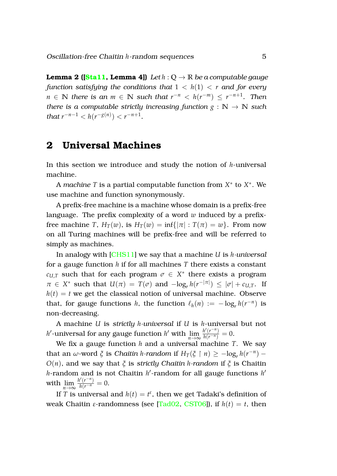**Lemma 2 ([\[Sta11,](#page-13-7) Lemma 4])** Let  $h: \mathbb{O} \to \mathbb{R}$  be a computable gauge *function satisfying the conditions that*  $1 < h(1) < r$  *and for every*  $n \in \mathbb{N}$  *there is an*  $m \in \mathbb{N}$  *such that*  $r^{-n} < h(r^{-m}) \leq r^{-n+1}$ *. Then there is a computable strictly increasing function*  $g : \mathbb{N} \to \mathbb{N}$  *such that*  $r^{-n-1} < h(r^{-g(n)}) < r^{-n+1}$ .

### <span id="page-5-0"></span>**2 Universal Machines**

In this section we introduce and study the notion of *h*-universal machine.

A *machine T* is a partial computable function from *X* ∗ to *X* ∗ . We use machine and function synonymously.

A prefix-free machine is a machine whose domain is a prefix-free language. The prefix complexity of a word *w* induced by a prefixfree machine *T*,  $H_T(w)$ , is  $H_T(w) = \inf\{|\pi| : T(\pi) = w\}$ . From now on all Turing machines will be prefix-free and will be referred to simply as machines.

In analogy with [\[CHS11\]](#page-12-0) we say that a machine *U* is *h-universal* for a gauge function *h* if for all machines *T* there exists a constant  $c_{U,T}$  such that for each program  $\sigma \in X^*$  there exists a program  $\pi \in X^*$  such that  $U(\pi) = T(\sigma)$  and  $-\log_r h(r^{-|\pi|}) \leq |\sigma| + c_{U,T}$ . If  $h(t) = t$  we get the classical notion of universal machine. Observe that, for gauge functions *h*, the function  $\ell_h(n) := -\log_r h(r^{-n})$  is non-decreasing.

A machine *U* is *strictly h-universal* if *U* is *h*-universal but not *h*<sup> $\ell$ </sup>-universal for any gauge function *h*<sup> $\ell$ </sup> with  $\lim_{n \to \infty} \frac{h'(r^{-n})}{h(r^{-n})} = 0$ .

We fix a gauge function *h* and a universal machine *T*. We say that an  $\omega$ -word  $\xi$  is *Chaitin h*-random if  $H_T(\xi \restriction n) \ge -\log_r h(r^{-n})$  – *O*(*n*), and we say that *ξ* is *strictly Chaitin h-random* if *ξ* is Chaitin h-random and is not Chaitin h<sup>i</sup>-random for all gauge functions h<sup>i</sup> with  $\lim_{n\to\infty} \frac{h'(r^{-n})}{h(r^{-n})} = 0.$ 

If *T* is universal and  $h(t) = t^{\varepsilon}$ , then we get Tadaki's definition of weak Chaitin *ε*-randomness (see [\[Tad02,](#page-13-1) [CST06\]](#page-12-1)), if  $h(t) = t$ , then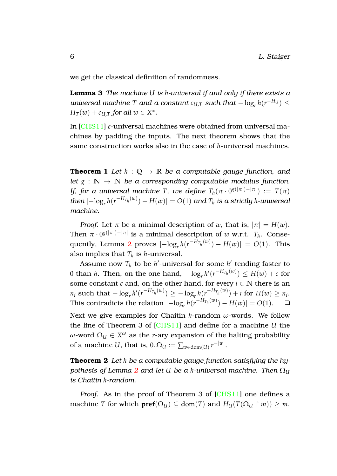we get the classical definition of randomness.

**Lemma 3** *The machine U is h-universal if and only if there exists a universal machine T and a constant*  $c_{U,T}$  *such that*  $-\log_r h(r^{-H_U}) \le$  $H_T(w) + c_{U,T}$  *for all*  $w \in X^*$ *.* 

In [\[CHS11\]](#page-12-0) *ε*-universal machines were obtained from universal machines by padding the inputs. The next theorem shows that the same construction works also in the case of *h*-universal machines.

**Theorem 1** *Let*  $h : \mathbb{Q} \to \mathbb{R}$  *be a computable gauge function, and let*  $g : \mathbb{N} \to \mathbb{N}$  *be a corresponding computable modulus function. If, for a universal machine T, we define*  $T_h(\pi \cdot 0^{g(|\pi|)-|\pi|}) := T(\pi)$  $t$ *hen*  $\vert -\log_r h(r^{-H_{T_h}(w)}) - H(w) \vert = O(1)$  *and*  $T_h$  *is a strictly h-universal machine.*

*Proof.* Let  $\pi$  be a minimal description of *w*, that is,  $|\pi| = H(w)$ . Then  $\pi \cdot 0^{g(|\pi|)-|\pi|}$  is a minimal description of  $w$  w.r.t.  $T_h$ . Conse-quently, Lemma [2](#page-4-4) proves  $\left| -\log_r h(r^{-H_{T_h}(w)}) - H(w) \right| = O(1)$ . This also implies that  $T_h$  is *h*-universal.

Assume now  $T_h$  to be  $h'$ -universal for some  $h'$  tending faster to 0 than *h*. Then, on the one hand,  $-\log_r h'(r^{-H_{T_h}(w)}) \leq H(w) + c$  for some constant *c* and, on the other hand, for every  $i \in \mathbb{N}$  there is an  $n_i$  such that  $-\log_r h'(r^{-H_{T_h}(w)}) \ge -\log_r h(r^{-H_{T_h}(w)}) + i$  for  $H(w) \ge n_i$ . This contradicts the relation  $\left| -\log_r h(r^{-H_{T_h}(w)}) - H(w) \right| = O(1)$ . <del></del>□

Next we give examples for Chaitin *h*-random *ω*-words. We follow the line of Theorem 3 of [\[CHS11\]](#page-12-0) and define for a machine *U* the  $ω$ -word  $Ω_U ∈ X<sup>ω</sup>$  as the *r*-ary expansion of the halting probability of a machine *U*, that is,  $0.\,\Omega_U := \sum_{w\in\text{dom}(U)} r^{-|w|}.$ 

<span id="page-6-0"></span>**Theorem 2** *Let h be a computable gauge function satisfying the hypothesis of Lemma* [2](#page-4-4) *and let U be a h*-universal machine. Then  $\Omega_{U}$ *is Chaitin h-random.*

*Proof.* As in the proof of Theorem 3 of [\[CHS11\]](#page-12-0) one defines a machine *T* for which  $\text{pref}(\Omega_U) \subseteq \text{dom}(T)$  and  $H_U(T(\Omega_U \restriction m)) \geq m$ .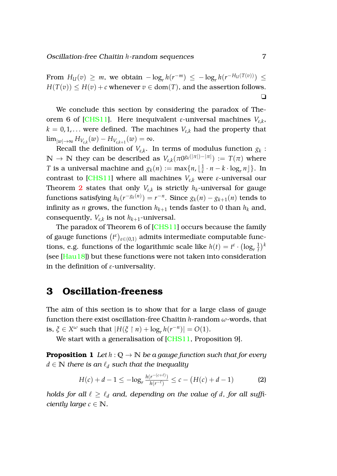From  $H_U(v) \geq m$ , we obtain  $-\log_r h(r^{-m}) \leq -\log_r h(r^{-H_U(T(v))}) \leq$  $H(T(v)) \leq H(v) + c$  whenever  $v \in \text{dom}(T)$ , and the assertion follows. ❏

We conclude this section by considering the paradox of Theorem 6 of [\[CHS11\]](#page-12-0). Here inequivalent *ε*-universal machines *Vε*,*<sup>k</sup>* ,  $k = 0, 1, \ldots$  were defined. The machines  $V_{\varepsilon,k}$  had the property that  $\lim_{|w|\to\infty} H_{V_{\varepsilon,k}}(w) - H_{V_{\varepsilon,k+1}}(w) = \infty.$ 

Recall the definition of  $V_{\varepsilon,k}.$  In terms of modulus function  $g_k$  :  $\mathbb{N} \to \mathbb{N}$  they can be described as  $V_{\varepsilon,k}(\pi 0^{\mathcal{G}_k(|\pi|)-|\pi|}) := T(\pi)$  where *T* is a universal machine and  $g_k(n) := \max\{n, \lfloor\frac{n}{\epsilon}\rfloor\}$  $\frac{1}{\varepsilon} \cdot n - k \cdot \log_r n$  }. In contrast to [\[CHS11\]](#page-12-0) where all machines  $V_{\varepsilon,k}$  were *ε*-universal our Theorem  $2$  states that only  $V_{\varepsilon,k}$  is strictly  $h_k$ -universal for gauge functions satisfying  $h_k(r^{-g_k(n)}) = r^{-n}$ . Since  $g_k(n) - g_{k+1}(n)$  tends to infinity as  $n$  grows, the function  $h_{k+1}$  tends faster to  $0$  than  $h_k$  and, consequently,  $V_{\varepsilon,k}$  is not  $h_{k+1}$ -universal.

The paradox of Theorem 6 of [\[CHS11\]](#page-12-0) occurs because the family of gauge functions  $\left(t^{\varepsilon}\right)_{\varepsilon \in (0,1)}$  admits intermediate computable functions, e.g. functions of the logarithmic scale like  $h(t) = t^{\varepsilon} \cdot (\log_{t} \frac{1}{t})$  $(\frac{1}{t})^k$ (see [\[Hau18\]](#page-13-5)) but these functions were not taken into consideration in the definition of *ε*-universality.

# <span id="page-7-0"></span>**3 Oscillation-freeness**

The aim of this section is to show that for a large class of gauge function there exist oscillation-free Chaitin *h*-random *ω*-words, that is,  $\zeta \in X^{\omega}$  such that  $|H(\zeta \restriction n) + \log_r h(r^{-n})| = O(1)$ .

We start with a generalisation of [\[CHS11,](#page-12-0) Proposition 9].

**Proposition 1** *Let*  $h: \mathbb{Q} \to \mathbb{N}$  *be a gauge function such that for every*  $d \in \mathbb{N}$  *there is an*  $\ell_d$  *such that the inequality* 

<span id="page-7-2"></span><span id="page-7-1"></span>
$$
H(c) + d - 1 \leq -\log_r \frac{h(r^{-(c+\ell)})}{h(r^{\ell})} \leq c - (H(c) + d - 1)
$$
 (2)

*holds for all*  $\ell \geq \ell_d$  *and, depending on the value of d, for all sufficiently large*  $c \in \mathbb{N}$ *.*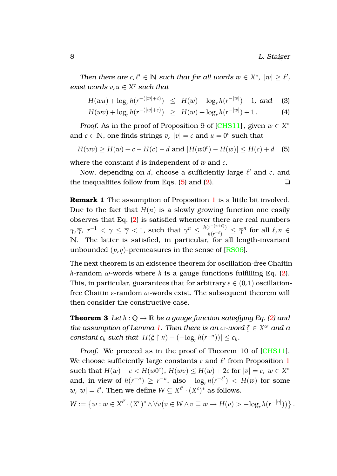*Then there are*  $c, l' \in \mathbb{N}$  *such that for all words*  $w \in X^*$ *,*  $|w| \geq l'$ *, exist words*  $v, u \in X^c$  *such that* 

$$
H(wu) + \log_r h(r^{-(|w|+c)}) \leq H(w) + \log_r h(r^{-|w|}) - 1, \text{ and } (3)
$$

<span id="page-8-1"></span>
$$
H(wv) + \log_r h(r^{-(|w|+c)}) \geq H(w) + \log_r h(r^{-|w|}) + 1.
$$
 (4)

*Proof.* As in the proof of Proposition 9 of [\[CHS11\]](#page-12-0), given  $w \in X^*$ and  $c \in \mathbb{N}$ , one finds strings  $v$ ,  $|v| = c$  and  $u = 0^c$  such that

<span id="page-8-0"></span>
$$
H(wv) \ge H(w) + c - H(c) - d \text{ and } |H(w0^{c}) - H(w)| \le H(c) + d \quad (5)
$$

where the constant *d* is independent of *w* and *c*.

Now, depending on  $d$ , choose a sufficiently large  $\ell'$  and  $c$ , and the inequalities follow from Eqs. [\(5\)](#page-8-0) and [\(2\)](#page-7-1).  $\square$ 

**Remark [1](#page-7-2)** The assumption of Proposition 1 is a little bit involved. Due to the fact that  $H(n)$  is a slowly growing function one easily observes that Eq. [\(2\)](#page-7-1) is satisfied whenever there are real numbers *γ*, *γ*, *r*<sup>-1</sup> < *γ* ≤ *γ* < 1, such that  $γ^n ≤ \frac{h(r^{-(n+\ell)})}{h(r^{-\ell})}$  $\frac{r^{-(n+\epsilon)}}{h(r^{-\ell})} \leq \overline{\gamma}^n$  for all  $\ell, n \in$ **N**. The latter is satisfied, in particular, for all length-invariant unbounded  $(p, q)$ -premeasures in the sense of  $[RS06]$ .

The next theorem is an existence theorem for oscillation-free Chaitin *h*-random *ω*-words where *h* is a gauge functions fulfilling Eq. [\(2\)](#page-7-1). This, in particular, guarantees that for arbitrary  $\varepsilon \in (0,1)$  oscillationfree Chaitin *ε*-random *ω*-words exist. The subsequent theorem will then consider the constructive case.

<span id="page-8-2"></span>**Theorem 3** *Let*  $h: Q \to \mathbb{R}$  *be a gauge function satisfying Eq. [\(2\)](#page-7-1) and the assumption of Lemma [1.](#page-4-2) Then there is an*  $\omega$ *-word*  $\xi \in X^{\omega}$  *and a constant*  $c_h$  *such that*  $|H(\xi \restriction n) - (-\log_r h(r^{-n}))| \leq c_h$ .

*Proof.* We proceed as in the proof of Theorem 10 of [\[CHS11\]](#page-12-0). We choose sufficiently large constants  $c$  and  $\ell'$  from Proposition [1](#page-7-2) such that  $H(w) - c < H(w0^c)$ ,  $H(wv) \le H(w) + 2c$  for  $|v| = c$ ,  $w \in X^*$ and, in view of  $h(r^{-n}) \ge r^{-n}$ , also  $-\log_r h(r^{-\ell'})$  <  $H(w)$  for some  $w$ ,  $|w| = \ell'.$  Then we define  $W \subseteq X^{\ell'} \cdot (X^c)^*$  as follows.

$$
W := \left\{ w : w \in X^{\ell'} \cdot (X^c)^* \wedge \forall v \big( v \in W \wedge v \sqsubseteq w \to H(v) > -\log_r h(r^{-|v|}) \big) \right\}.
$$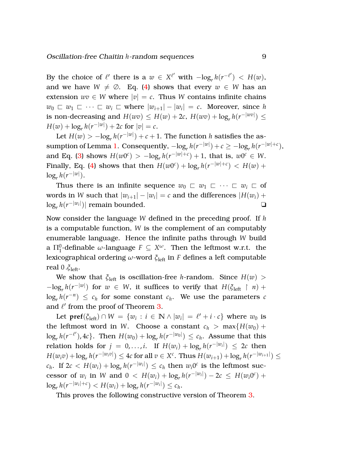By the choice of  $\ell'$  there is a  $w \in X^{\ell'}$  with  $-\log_r h(r^{-\ell'}) < H(w)$ , and we have  $W \neq \emptyset$ . Eq. [\(4\)](#page-8-1) shows that every  $w \in W$  has an extension  $wv \in W$  where  $|v| = c$ . Thus *W* contains infinite chains  $w_0 \subset w_1 \subset \cdots \subset w_i \subset \text{where } |w_{i+1}| - |w_i| = c.$  Moreover, since *h* is non-decreasing and  $H(wv) \leq H(w) + 2c$ ,  $H(wv) + \log_r h(r^{-|wv|}) \leq$ *H*(*w*) +  $\log_r h(r^{-|w|}) + 2c$  for  $|v| = c$ .

Let  $H(w) > -\log_r h(r^{-|w|}) + c + 1$ . The function *h* satisfies the as-sumption of Lemma [1.](#page-4-2) Consequently,  $-\log_r h(r^{-|w|}) + c \ge -\log_r h(r^{-|w|+c}),$ and Eq. [\(3\)](#page-8-1) shows  $H(w0^c) > -\log_r h(r^{-|w|+c}) + 1$ , that is,  $w0^c \in W$ . Finally, Eq. [\(4\)](#page-8-1) shows that then  $H(w0^c) + \log_r h(r^{-|w|+c}) < H(w) +$  $\log_r h(r^{-|w|}).$ 

Thus there is an infinite sequence  $w_0 \n\sqsubset w_1 \sqsubset \cdots \sqsubset w_i \sqsubset \mathfrak{of}$ words in W such that  $|w_{i+1}| - |w_i| = c$  and the differences  $|H(w_i) +$  $\log_r h(r^{-|w_i|})$ | remain bounded. **</u></u>□** 

Now consider the language *W* defined in the preceding proof. If *h* is a computable function, *W* is the complement of an computably enumerable language. Hence the infinite paths through *W* build a  $\Pi^0_1$ -definable  $\omega$ -language  $F \subseteq X^\omega$ . Then the leftmost w.r.t. the lexicographical ordering  $\omega$ -word  $\zeta_{\text{left}}$  in *F* defines a left computable real 0 .*ξ*left.

We show that  $\zeta_{\text{left}}$  is oscillation-free *h*-random. Since  $H(w)$  $-\log_r h(r^{-|w|})$  for  $w \in W$ , it suffices to verify that  $H(\xi_{\text{left}} \restriction n)$  +  $\log_r h(r^{-n}) \leq c_h$  for some constant  $c_h$ . We use the parameters *c* and  $\ell'$  from the proof of Theorem [3.](#page-8-2)

Let  $\text{pref}(\xi_{\text{left}}) \cap W = \{w_i : i \in \mathbb{N} \land |w_i| = \ell' + i \cdot c\}$  where  $w_0$  is the leftmost word in *W*. Choose a constant  $c_h > \max\{H(w_0) +$  $\log_r h(r^{-\ell'}), 4c$ }. Then  $H(w_0) + \log_r h(r^{-|w_0|}) ≤ c_h$ . Assume that this relation holds for  $j = 0,...,i$ . If  $H(w_i) + \log_r h(r^{-|w_i|}) \leq 2c$  then  $H(w_i v) + \log_r h(r^{-|w_i v|}) \leq 4c$  for all  $v \in X^c$ . Thus  $H(w_{i+1}) + \log_r h(r^{-|w_{i+1}|}) \leq$  $c_h$ . If 2 $c < H(w_i) + \log_r h(r^{-|w_i|}) \leq c_h$  then  $w_i 0^c$  is the leftmost successor of *w<sub>i</sub>* in *W* and  $0 < H(w_i) + \log_r h(r^{-|w_i|}) - 2c \le H(w_i 0^c) +$  $\log_r h(r^{-|w_i|+c}) < H(w_i) + \log_r h(r^{-|w_i|}) \leq c_h.$ 

This proves the following constructive version of Theorem [3.](#page-8-2)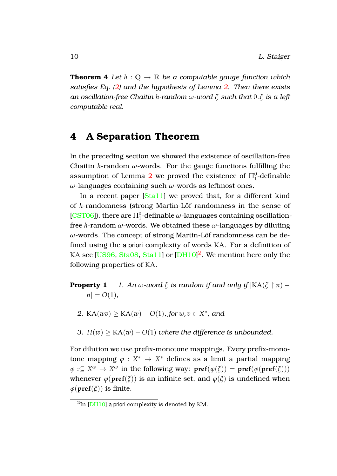**Theorem 4** *Let*  $h: \mathbb{Q} \to \mathbb{R}$  *be a computable gauge function which satisfies Eq. [\(2\)](#page-7-1) and the hypothesis of Lemma [2.](#page-4-4) Then there exists an oscillation-free Chaitin h-random ω-word ξ such that* 0 .*ξ is a left computable real.*

# <span id="page-10-0"></span>**4 A Separation Theorem**

In the preceding section we showed the existence of oscillation-free Chaitin *h*-random  $\omega$ -words. For the gauge functions fulfilling the assumption of Lemma  $2$  we proved the existence of  $\Pi^0_1$ -definable *ω*-languages containing such *ω*-words as leftmost ones.

In a recent paper [\[Sta11\]](#page-13-7) we proved that, for a different kind of *h*-randomness (strong Martin-Löf randomness in the sense of [\[CST06\]](#page-12-1)), there are  $\Pi^0_1$ -definable  $\omega$ -languages containing oscillationfree *h*-random *ω*-words. We obtained these *ω*-languages by diluting  $\omega$ -words. The concept of strong Martin-Löf randomness can be defined using the a priori complexity of words KA. For a definition of KA see [\[US96,](#page-14-0) [Sta08,](#page-13-3) [Sta11\]](#page-13-7) or [\[DH10\]](#page-12-3)<sup>[2](#page-10-1)</sup>. We mention here only the following properties of KA.

- <span id="page-10-4"></span><span id="page-10-3"></span><span id="page-10-2"></span>**Property 1** *1. An*  $\omega$ *-word*  $\xi$  *is random if and only if*  $|KA(\xi \upharpoonright n)$  –  $n| = O(1)$ ,
	- *2.* KA(*wv*)  $\geq$  KA(*w*) *O*(1)*, for w*, *v*  $\in$  *X*<sup>\*</sup>, and
	- *3.*  $H(w)$  > KA(*w*)  $O(1)$  *where the difference is unbounded.*

For dilution we use prefix-monotone mappings. Every prefix-monotone mapping  $\varphi : X^* \to X^*$  defines as a limit a partial mapping  $\overline{\varphi}:\subseteq X^{\omega}\to X^{\omega}$  in the following way:  $\mathbf{pref}(\overline{\varphi}(\xi))=\mathbf{pref}(\varphi(\mathbf{pref}(\xi)))$ whenever  $\varphi(\textbf{pref}(\xi))$  is an infinite set, and  $\overline{\varphi}(\xi)$  is undefined when  $\varphi$ (**pref**( $\zeta$ )) is finite.

<span id="page-10-1"></span> ${}^{2}\mathrm{In}$  [\[DH10\]](#page-12-3) a priori complexity is denoted by KM.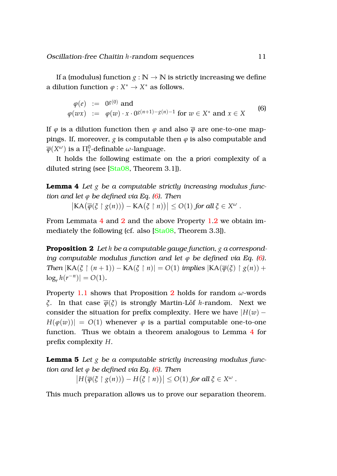If a (modulus) function  $g : \mathbb{N} \to \mathbb{N}$  is strictly increasing we define a dilution function  $\varphi: X^* \to X^*$  as follows.

<span id="page-11-0"></span>
$$
\varphi(e) := 0^{g(0)} \text{ and}
$$
  
\n
$$
\varphi(wx) := \varphi(w) \cdot x \cdot 0^{g(n+1)-g(n)-1} \text{ for } w \in X^* \text{ and } x \in X
$$
 (6)

If  $\varphi$  is a dilution function then  $\varphi$  and also  $\overline{\varphi}$  are one-to-one mappings. If, moreover,  $g$  is computable then  $\varphi$  is also computable and  $\overline{\varphi}(X^\omega)$  is a  $\Pi^0_1$ -definable  $\omega$ -language.

It holds the following estimate on the a priori complexity of a diluted string (see [\[Sta08,](#page-13-3) Theorem 3.1]).

**Lemma 4** *Let g be a computable strictly increasing modulus function and let ϕ be defined via Eq. [\(6\)](#page-11-0). Then*

<span id="page-11-2"></span><span id="page-11-1"></span> $\left| \text{KA}(\overline{\varphi}(\xi \upharpoonright g(n))) - \text{KA}(\xi \upharpoonright n) \right| \leq O(1)$  *for all*  $\xi \in X^{\omega}$ .

From Lemmata [4](#page-11-1) and [2](#page-4-4) and the above Property [1](#page-10-2)[.2](#page-10-3) we obtain immediately the following (cf. also [\[Sta08,](#page-13-3) Theorem 3.3]).

**Proposition 2** *Let h be a computable gauge function, g a corresponding computable modulus function and let*  $\varphi$  *be defined via Eq. [\(6\)](#page-11-0). Then*  $|KA(\xi \restriction (n+1)) - KA(\xi \restriction n)| = O(1)$  *implies*  $|KA(\overline{\varphi}(\xi) \restriction g(n)) +$  $\log_r h(r^{-n})| = O(1)$ .

Property [1.](#page-10-2)[1](#page-10-4) shows that Proposition [2](#page-11-2) holds for random *ω*-words *ξ*. In that case  $\overline{\varphi}(\xi)$  is strongly Martin-Löf *h*-random. Next we consider the situation for prefix complexity. Here we have  $|H(w) H(\varphi(w))| = O(1)$  whenever  $\varphi$  is a partial computable one-to-one function. Thus we obtain a theorem analogous to Lemma [4](#page-11-1) for prefix complexity *H*.

**Lemma 5** *Let g be a computable strictly increasing modulus function and let ϕ be defined via Eq. [\(6\)](#page-11-0). Then*  $\left| H(\overline{\varphi}(\xi \restriction g(n))) - H(\xi \restriction n)) \right| \leq O(1)$  *for all*  $\xi \in X^{\omega}$ .

This much preparation allows us to prove our separation theorem.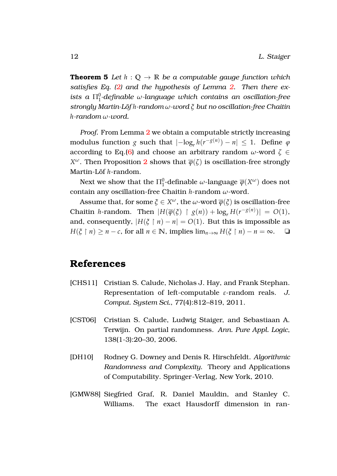**Theorem 5** *Let*  $h: \mathbb{Q} \to \mathbb{R}$  *be a computable gauge function which satisfies Eq. [\(2\)](#page-7-1) and the hypothesis of Lemma [2.](#page-4-4) Then there ex* $i$ sts a  $\Pi^0_1$ -definable *w*-language which contains an oscillation-free *strongly Martin-Lof ¨ h-random ω-word ξ but no oscillation-free Chaitin h-random ω-word.*

*Proof.* From Lemma [2](#page-4-4) we obtain a computable strictly increasing  $\text{modulus function } g \text{ such that } |-\log_r h(r^{-g(n)}) - n| \leq 1. \text{ Define } \varphi$ according to Eq.[\(6\)](#page-11-0) and choose an arbitrary random  $\omega$ -word  $\zeta \in$ *X*<sup>ω</sup>. Then Proposition [2](#page-11-2) shows that  $\overline{\varphi}(\zeta)$  is oscillation-free strongly Martin-Löf h-random.

Next we show that the  $\Pi^0_1$ -definable  $\omega$ -language  $\overline{\varphi}(X^\omega)$  does not contain any oscillation-free Chaitin *h*-random *ω*-word.

Assume that, for some  $\xi \in X^\omega$ , the  $\omega$ -word  $\overline{\phi}(\xi)$  is oscillation-free Chaitin *h*-random. Then  $|H(\overline{\varphi}(\xi) \restriction g(n)) + \log_r H(r^{-g(n)})| = O(1)$ , and, consequently,  $|H(\xi \mid n) - n| = O(1)$ . But this is impossible as  $H(\xi \mid n) \geq n - c$ , for all  $n \in \mathbb{N}$ , implies  $\lim_{n \to \infty} H(\xi \mid n) - n = \infty$ .  $\Box$ 

# **References**

- <span id="page-12-0"></span>[CHS11] Cristian S. Calude, Nicholas J. Hay, and Frank Stephan. Representation of left-computable *ε*-random reals. *J. Comput. System Sci.*, 77(4):812–819, 2011.
- <span id="page-12-1"></span>[CST06] Cristian S. Calude, Ludwig Staiger, and Sebastiaan A. Terwijn. On partial randomness. *Ann. Pure Appl. Logic*, 138(1-3):20–30, 2006.
- <span id="page-12-3"></span>[DH10] Rodney G. Downey and Denis R. Hirschfeldt. *Algorithmic Randomness and Complexity*. Theory and Applications of Computability. Springer-Verlag, New York, 2010.
- <span id="page-12-2"></span>[GMW88] Siegfried Graf, R. Daniel Mauldin, and Stanley C. Williams. The exact Hausdorff dimension in ran-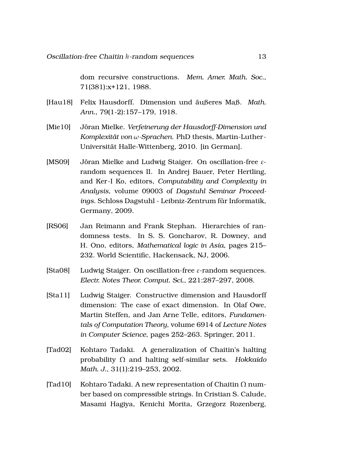dom recursive constructions. *Mem. Amer. Math. Soc.*, 71(381):x+121, 1988.

- <span id="page-13-5"></span>[Hau18] Felix Hausdorff. Dimension und äußeres Maß. Math. *Ann.*, 79(1-2):157–179, 1918.
- <span id="page-13-6"></span>[Mie10] Jöran Mielke. *Verfeinerung der Hausdorff-Dimension und Komplexitat von ¨ ω-Sprachen*. PhD thesis, Martin-Luther-Universitat Halle-Wittenberg, 2010. [in German]. ¨
- <span id="page-13-4"></span>[MS09] Jöran Mielke and Ludwig Staiger. On oscillation-free εrandom sequences II. In Andrej Bauer, Peter Hertling, and Ker-I Ko, editors, *Computability and Complexity in Analysis*, volume 09003 of *Dagstuhl Seminar Proceed*ings. Schloss Dagstuhl - Leibniz-Zentrum für Informatik, Germany, 2009.
- <span id="page-13-2"></span>[RS06] Jan Reimann and Frank Stephan. Hierarchies of randomness tests. In S. S. Goncharov, R. Downey, and H. Ono, editors, *Mathematical logic in Asia*, pages 215– 232. World Scientific, Hackensack, NJ, 2006.
- <span id="page-13-3"></span>[Sta08] Ludwig Staiger. On oscillation-free *ε*-random sequences. *Electr. Notes Theor. Comput. Sci.*, 221:287–297, 2008.
- <span id="page-13-7"></span>[Sta11] Ludwig Staiger. Constructive dimension and Hausdorff dimension: The case of exact dimension. In Olaf Owe, Martin Steffen, and Jan Arne Telle, editors, *Fundamentals of Computation Theory*, volume 6914 of *Lecture Notes in Computer Science*, pages 252–263. Springer, 2011.
- <span id="page-13-1"></span>[Tad02] Kohtaro Tadaki. A generalization of Chaitin's halting probability Ω and halting self-similar sets. *Hokkaido Math. J.*, 31(1):219–253, 2002.
- <span id="page-13-0"></span>[Tad10] Kohtaro Tadaki. A new representation of Chaitin  $\Omega$  number based on compressible strings. In Cristian S. Calude, Masami Hagiya, Kenichi Morita, Grzegorz Rozenberg,